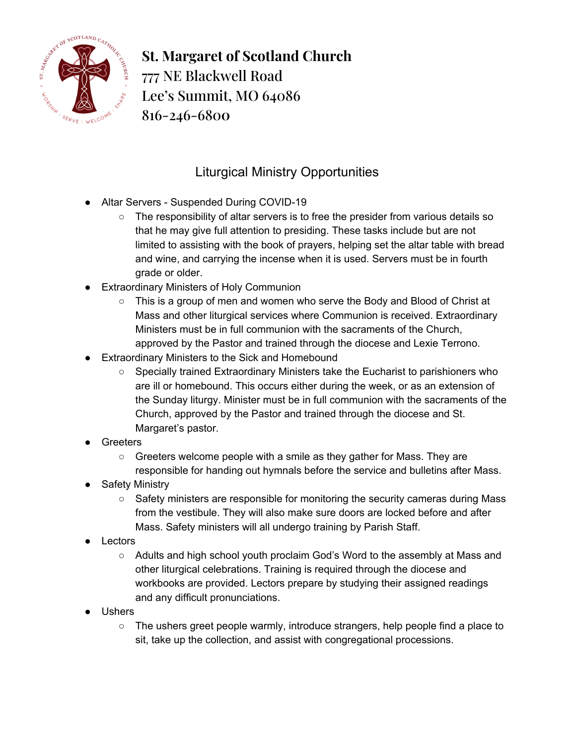

**St. Margaret of Scotland Church** 777 NE Blackwell Road Lee's Summit, MO 64086 816-246-680**0**

## Liturgical Ministry Opportunities

- Altar Servers Suspended During COVID-19
	- The responsibility of altar servers is to free the presider from various details so that he may give full attention to presiding. These tasks include but are not limited to assisting with the book of prayers, helping set the altar table with bread and wine, and carrying the incense when it is used. Servers must be in fourth grade or older.
- Extraordinary Ministers of Holy Communion
	- $\circ$  This is a group of men and women who serve the Body and Blood of Christ at Mass and other liturgical services where Communion is received. Extraordinary Ministers must be in full communion with the sacraments of the Church, approved by the Pastor and trained through the diocese and Lexie Terrono.
- Extraordinary Ministers to the Sick and Homebound
	- Specially trained Extraordinary Ministers take the Eucharist to parishioners who are ill or homebound. This occurs either during the week, or as an extension of the Sunday liturgy. Minister must be in full communion with the sacraments of the Church, approved by the Pastor and trained through the diocese and St. Margaret's pastor.
- **Greeters** 
	- Greeters welcome people with a smile as they gather for Mass. They are responsible for handing out hymnals before the service and bulletins after Mass.
- Safety Ministry
	- Safety ministers are responsible for monitoring the security cameras during Mass from the vestibule. They will also make sure doors are locked before and after Mass. Safety ministers will all undergo training by Parish Staff.
- Lectors
	- Adults and high school youth proclaim God's Word to the assembly at Mass and other liturgical celebrations. Training is required through the diocese and workbooks are provided. Lectors prepare by studying their assigned readings and any difficult pronunciations.
- Ushers
	- The ushers greet people warmly, introduce strangers, help people find a place to sit, take up the collection, and assist with congregational processions.